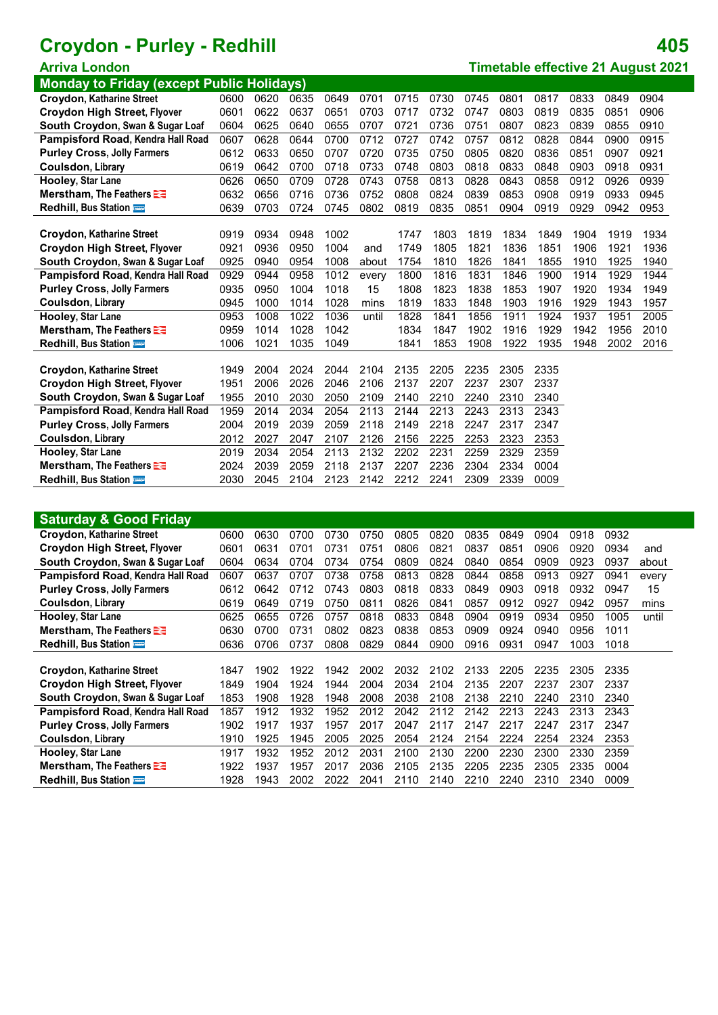**Monday to Friday (except Public Holidays)**

|                                     | .    | .    | - 1  |      |       |      |      |      |      |      |      |      |      |
|-------------------------------------|------|------|------|------|-------|------|------|------|------|------|------|------|------|
| <b>Croydon, Katharine Street</b>    | 0600 | 0620 | 0635 | 0649 | 0701  | 0715 | 0730 | 0745 | 0801 | 0817 | 0833 | 0849 | 0904 |
| <b>Croydon High Street, Flyover</b> | 0601 | 0622 | 0637 | 0651 | 0703  | 0717 | 0732 | 0747 | 0803 | 0819 | 0835 | 0851 | 0906 |
| South Croydon, Swan & Sugar Loaf    | 0604 | 0625 | 0640 | 0655 | 0707  | 0721 | 0736 | 0751 | 0807 | 0823 | 0839 | 0855 | 0910 |
| Pampisford Road, Kendra Hall Road   | 0607 | 0628 | 0644 | 0700 | 0712  | 0727 | 0742 | 0757 | 0812 | 0828 | 0844 | 0900 | 0915 |
| <b>Purley Cross, Jolly Farmers</b>  | 0612 | 0633 | 0650 | 0707 | 0720  | 0735 | 0750 | 0805 | 0820 | 0836 | 0851 | 0907 | 0921 |
| Coulsdon, Library                   | 0619 | 0642 | 0700 | 0718 | 0733  | 0748 | 0803 | 0818 | 0833 | 0848 | 0903 | 0918 | 0931 |
| Hooley, Star Lane                   | 0626 | 0650 | 0709 | 0728 | 0743  | 0758 | 0813 | 0828 | 0843 | 0858 | 0912 | 0926 | 0939 |
| Merstham, The Feathers <b>E</b>     | 0632 | 0656 | 0716 | 0736 | 0752  | 0808 | 0824 | 0839 | 0853 | 0908 | 0919 | 0933 | 0945 |
| <b>Redhill, Bus Station</b>         | 0639 | 0703 | 0724 | 0745 | 0802  | 0819 | 0835 | 0851 | 0904 | 0919 | 0929 | 0942 | 0953 |
|                                     |      |      |      |      |       |      |      |      |      |      |      |      |      |
| Croydon, Katharine Street           | 0919 | 0934 | 0948 | 1002 |       | 1747 | 1803 | 1819 | 1834 | 1849 | 1904 | 1919 | 1934 |
| <b>Croydon High Street, Flyover</b> | 0921 | 0936 | 0950 | 1004 | and   | 1749 | 1805 | 1821 | 1836 | 1851 | 1906 | 1921 | 1936 |
| South Croydon, Swan & Sugar Loaf    | 0925 | 0940 | 0954 | 1008 | about | 1754 | 1810 | 1826 | 1841 | 1855 | 1910 | 1925 | 1940 |
| Pampisford Road, Kendra Hall Road   | 0929 | 0944 | 0958 | 1012 | every | 1800 | 1816 | 1831 | 1846 | 1900 | 1914 | 1929 | 1944 |
| <b>Purley Cross, Jolly Farmers</b>  | 0935 | 0950 | 1004 | 1018 | 15    | 1808 | 1823 | 1838 | 1853 | 1907 | 1920 | 1934 | 1949 |
| <b>Coulsdon, Library</b>            | 0945 | 1000 | 1014 | 1028 | mins  | 1819 | 1833 | 1848 | 1903 | 1916 | 1929 | 1943 | 1957 |
| Hooley, Star Lane                   | 0953 | 1008 | 1022 | 1036 | until | 1828 | 1841 | 1856 | 1911 | 1924 | 1937 | 1951 | 2005 |
| Merstham, The Feathers <b>EE</b>    | 0959 | 1014 | 1028 | 1042 |       | 1834 | 1847 | 1902 | 1916 | 1929 | 1942 | 1956 | 2010 |
| Redhill, Bus Station                | 1006 | 1021 | 1035 | 1049 |       | 1841 | 1853 | 1908 | 1922 | 1935 | 1948 | 2002 | 2016 |
|                                     |      |      |      |      |       |      |      |      |      |      |      |      |      |
| <b>Croydon, Katharine Street</b>    | 1949 | 2004 | 2024 | 2044 | 2104  | 2135 | 2205 | 2235 | 2305 | 2335 |      |      |      |
| <b>Croydon High Street, Flyover</b> | 1951 | 2006 | 2026 | 2046 | 2106  | 2137 | 2207 | 2237 | 2307 | 2337 |      |      |      |
| South Croydon, Swan & Sugar Loaf    | 1955 | 2010 | 2030 | 2050 | 2109  | 2140 | 2210 | 2240 | 2310 | 2340 |      |      |      |
| Pampisford Road, Kendra Hall Road   | 1959 | 2014 | 2034 | 2054 | 2113  | 2144 | 2213 | 2243 | 2313 | 2343 |      |      |      |
| <b>Purley Cross, Jolly Farmers</b>  | 2004 | 2019 | 2039 | 2059 | 2118  | 2149 | 2218 | 2247 | 2317 | 2347 |      |      |      |
| <b>Coulsdon, Library</b>            | 2012 | 2027 | 2047 | 2107 | 2126  | 2156 | 2225 | 2253 | 2323 | 2353 |      |      |      |
| Hooley, Star Lane                   | 2019 | 2034 | 2054 | 2113 | 2132  | 2202 | 2231 | 2259 | 2329 | 2359 |      |      |      |
| Merstham, The Feathers              | 2024 | 2039 | 2059 | 2118 | 2137  | 2207 | 2236 | 2304 | 2334 | 0004 |      |      |      |
| <b>Redhill, Bus Station</b>         | 2030 | 2045 | 2104 | 2123 | 2142  | 2212 | 2241 | 2309 | 2339 | 0009 |      |      |      |
|                                     |      |      |      |      |       |      |      |      |      |      |      |      |      |

| <b>Saturday &amp; Good Friday</b>   |      |      |      |      |      |      |      |      |      |      |      |      |       |
|-------------------------------------|------|------|------|------|------|------|------|------|------|------|------|------|-------|
| Croydon, Katharine Street           | 0600 | 0630 | 0700 | 0730 | 0750 | 0805 | 0820 | 0835 | 0849 | 0904 | 0918 | 0932 |       |
| <b>Croydon High Street, Flyover</b> | 0601 | 0631 | 0701 | 0731 | 0751 | 0806 | 0821 | 0837 | 0851 | 0906 | 0920 | 0934 | and   |
| South Croydon, Swan & Sugar Loaf    | 0604 | 0634 | 0704 | 0734 | 0754 | 0809 | 0824 | 0840 | 0854 | 0909 | 0923 | 0937 | about |
| Pampisford Road, Kendra Hall Road   | 0607 | 0637 | 0707 | 0738 | 0758 | 0813 | 0828 | 0844 | 0858 | 0913 | 0927 | 0941 | every |
| <b>Purley Cross, Jolly Farmers</b>  | 0612 | 0642 | 0712 | 0743 | 0803 | 0818 | 0833 | 0849 | 0903 | 0918 | 0932 | 0947 | 15    |
| Coulsdon, Library                   | 0619 | 0649 | 0719 | 0750 | 0811 | 0826 | 0841 | 0857 | 0912 | 0927 | 0942 | 0957 | mins  |
| <b>Hooley, Star Lane</b>            | 0625 | 0655 | 0726 | 0757 | 0818 | 0833 | 0848 | 0904 | 0919 | 0934 | 0950 | 1005 | until |
| Merstham, The Feathers <b>E</b>     | 0630 | 0700 | 0731 | 0802 | 0823 | 0838 | 0853 | 0909 | 0924 | 0940 | 0956 | 1011 |       |
| <b>Redhill, Bus Station</b>         | 0636 | 0706 | 0737 | 0808 | 0829 | 0844 | 0900 | 0916 | 0931 | 0947 | 1003 | 1018 |       |
|                                     |      |      |      |      |      |      |      |      |      |      |      |      |       |
| Croydon, Katharine Street           | 1847 | 1902 | 1922 | 1942 | 2002 | 2032 | 2102 | 2133 | 2205 | 2235 | 2305 | 2335 |       |
| <b>Croydon High Street, Flyover</b> | 1849 | 1904 | 1924 | 1944 | 2004 | 2034 | 2104 | 2135 | 2207 | 2237 | 2307 | 2337 |       |
| South Croydon, Swan & Sugar Loaf    | 1853 | 1908 | 1928 | 1948 | 2008 | 2038 | 2108 | 2138 | 2210 | 2240 | 2310 | 2340 |       |
| Pampisford Road, Kendra Hall Road   | 1857 | 1912 | 1932 | 1952 | 2012 | 2042 | 2112 | 2142 | 2213 | 2243 | 2313 | 2343 |       |
| <b>Purley Cross, Jolly Farmers</b>  | 1902 | 1917 | 1937 | 1957 | 2017 | 2047 | 2117 | 2147 | 2217 | 2247 | 2317 | 2347 |       |
| Coulsdon, Library                   | 1910 | 1925 | 1945 | 2005 | 2025 | 2054 | 2124 | 2154 | 2224 | 2254 | 2324 | 2353 |       |
| Hooley, Star Lane                   | 1917 | 1932 | 1952 | 2012 | 2031 | 2100 | 2130 | 2200 | 2230 | 2300 | 2330 | 2359 |       |
| Merstham, The Feathers <b>E</b>     | 1922 | 1937 | 1957 | 2017 | 2036 | 2105 | 2135 | 2205 | 2235 | 2305 | 2335 | 0004 |       |
| <b>Redhill, Bus Station</b>         | 1928 | 1943 | 2002 | 2022 | 2041 | 2110 | 2140 | 2210 | 2240 | 2310 | 2340 | 0009 |       |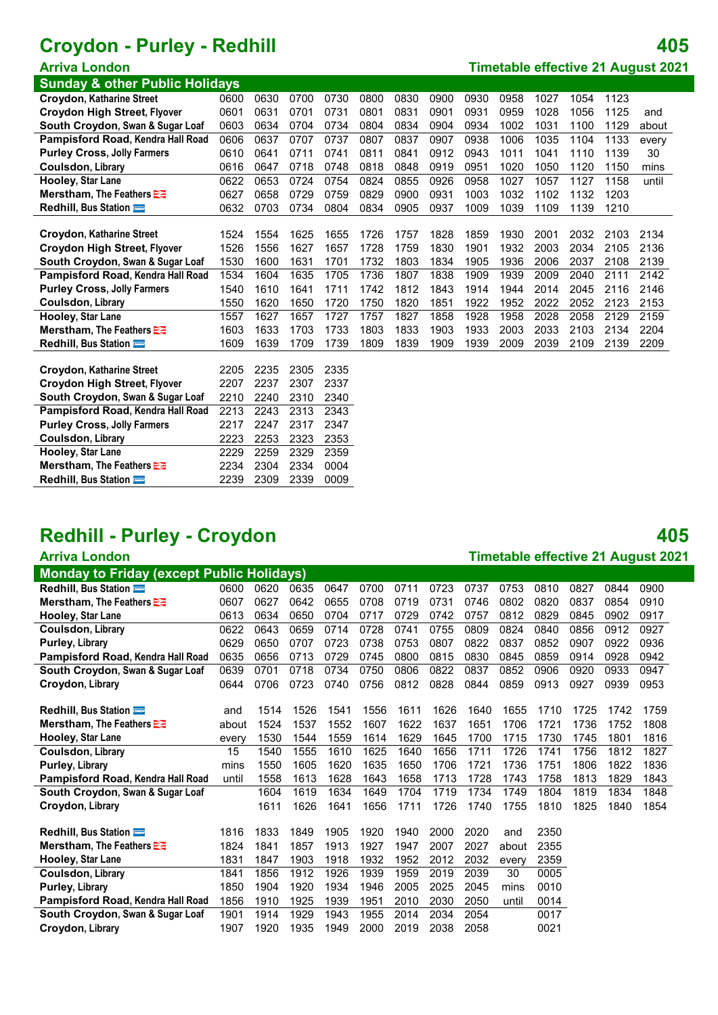**Sunday & other Public Holidays**

| $\frac{1}{2}$                       |      |      |      |      |      |      |      |      |      |      |      |      |       |
|-------------------------------------|------|------|------|------|------|------|------|------|------|------|------|------|-------|
| <b>Croydon, Katharine Street</b>    | 0600 | 0630 | 0700 | 0730 | 0800 | 0830 | 0900 | 0930 | 0958 | 1027 | 1054 | 1123 |       |
| <b>Croydon High Street, Flyover</b> | 0601 | 0631 | 0701 | 0731 | 0801 | 0831 | 0901 | 0931 | 0959 | 1028 | 1056 | 1125 | and   |
| South Croydon, Swan & Sugar Loaf    | 0603 | 0634 | 0704 | 0734 | 0804 | 0834 | 0904 | 0934 | 1002 | 1031 | 1100 | 1129 | about |
| Pampisford Road, Kendra Hall Road   | 0606 | 0637 | 0707 | 0737 | 0807 | 0837 | 0907 | 0938 | 1006 | 1035 | 1104 | 1133 | every |
| <b>Purley Cross, Jolly Farmers</b>  | 0610 | 0641 | 0711 | 0741 | 0811 | 0841 | 0912 | 0943 | 1011 | 1041 | 1110 | 1139 | 30    |
| <b>Coulsdon, Library</b>            | 0616 | 0647 | 0718 | 0748 | 0818 | 0848 | 0919 | 0951 | 1020 | 1050 | 1120 | 1150 | mins  |
| Hooley, Star Lane                   | 0622 | 0653 | 0724 | 0754 | 0824 | 0855 | 0926 | 0958 | 1027 | 1057 | 1127 | 1158 | until |
| Merstham, The Feathers              | 0627 | 0658 | 0729 | 0759 | 0829 | 0900 | 0931 | 1003 | 1032 | 1102 | 1132 | 1203 |       |
| Redhill, Bus Station                | 0632 | 0703 | 0734 | 0804 | 0834 | 0905 | 0937 | 1009 | 1039 | 1109 | 1139 | 1210 |       |
|                                     |      |      |      |      |      |      |      |      |      |      |      |      |       |
| Croydon, Katharine Street           | 1524 | 1554 | 1625 | 1655 | 1726 | 1757 | 1828 | 1859 | 1930 | 2001 | 2032 | 2103 | 2134  |
| <b>Croydon High Street, Flyover</b> | 1526 | 1556 | 1627 | 1657 | 1728 | 1759 | 1830 | 1901 | 1932 | 2003 | 2034 | 2105 | 2136  |
| South Croydon, Swan & Sugar Loaf    | 1530 | 1600 | 1631 | 1701 | 1732 | 1803 | 1834 | 1905 | 1936 | 2006 | 2037 | 2108 | 2139  |
| Pampisford Road, Kendra Hall Road   | 1534 | 1604 | 1635 | 1705 | 1736 | 1807 | 1838 | 1909 | 1939 | 2009 | 2040 | 2111 | 2142  |
| <b>Purley Cross, Jolly Farmers</b>  | 1540 | 1610 | 1641 | 1711 | 1742 | 1812 | 1843 | 1914 | 1944 | 2014 | 2045 | 2116 | 2146  |
| Coulsdon, Library                   | 1550 | 1620 | 1650 | 1720 | 1750 | 1820 | 1851 | 1922 | 1952 | 2022 | 2052 | 2123 | 2153  |
| Hooley, Star Lane                   | 1557 | 1627 | 1657 | 1727 | 1757 | 1827 | 1858 | 1928 | 1958 | 2028 | 2058 | 2129 | 2159  |
| Merstham, The Feathers E            | 1603 | 1633 | 1703 | 1733 | 1803 | 1833 | 1903 | 1933 | 2003 | 2033 | 2103 | 2134 | 2204  |
| Redhill, Bus Station                | 1609 | 1639 | 1709 | 1739 | 1809 | 1839 | 1909 | 1939 | 2009 | 2039 | 2109 | 2139 | 2209  |
|                                     |      |      |      |      |      |      |      |      |      |      |      |      |       |
| Croydon, Katharine Street           | 2205 | 2235 | 2305 | 2335 |      |      |      |      |      |      |      |      |       |
| <b>Croydon High Street, Flyover</b> | 2207 | 2237 | 2307 | 2337 |      |      |      |      |      |      |      |      |       |
| South Croydon, Swan & Sugar Loaf    | 2210 | 2240 | 2310 | 2340 |      |      |      |      |      |      |      |      |       |
| Pampisford Road, Kendra Hall Road   | 2213 | 2243 | 2313 | 2343 |      |      |      |      |      |      |      |      |       |
| <b>Purley Cross, Jolly Farmers</b>  | 2217 | 2247 | 2317 | 2347 |      |      |      |      |      |      |      |      |       |
| <b>Coulsdon, Library</b>            | 2223 | 2253 | 2323 | 2353 |      |      |      |      |      |      |      |      |       |
| Hooley, Star Lane                   | 2229 | 2259 | 2329 | 2359 |      |      |      |      |      |      |      |      |       |
| Merstham, The Feathers              | 2234 | 2304 | 2334 | 0004 |      |      |      |      |      |      |      |      |       |

# **Redhill - Purley - Croydon 405**

**Redhill**, Bus Station **2239 2309 2339 0009** 

| <b>Arriva London</b>                             |       |      |      |      |      |      |      |      |       |      |      |      | <b>Timetable effective 21 August 2021</b> |
|--------------------------------------------------|-------|------|------|------|------|------|------|------|-------|------|------|------|-------------------------------------------|
| <b>Monday to Friday (except Public Holidays)</b> |       |      |      |      |      |      |      |      |       |      |      |      |                                           |
| Redhill, Bus Station                             | 0600  | 0620 | 0635 | 0647 | 0700 | 0711 | 0723 | 0737 | 0753  | 0810 | 0827 | 0844 | 0900                                      |
| Merstham, The Feathers <b>EE</b>                 | 0607  | 0627 | 0642 | 0655 | 0708 | 0719 | 0731 | 0746 | 0802  | 0820 | 0837 | 0854 | 0910                                      |
| <b>Hooley, Star Lane</b>                         | 0613  | 0634 | 0650 | 0704 | 0717 | 0729 | 0742 | 0757 | 0812  | 0829 | 0845 | 0902 | 0917                                      |
| Coulsdon, Library                                | 0622  | 0643 | 0659 | 0714 | 0728 | 0741 | 0755 | 0809 | 0824  | 0840 | 0856 | 0912 | 0927                                      |
| Purley, Library                                  | 0629  | 0650 | 0707 | 0723 | 0738 | 0753 | 0807 | 0822 | 0837  | 0852 | 0907 | 0922 | 0936                                      |
| Pampisford Road, Kendra Hall Road                | 0635  | 0656 | 0713 | 0729 | 0745 | 0800 | 0815 | 0830 | 0845  | 0859 | 0914 | 0928 | 0942                                      |
| South Croydon, Swan & Sugar Loaf                 | 0639  | 0701 | 0718 | 0734 | 0750 | 0806 | 0822 | 0837 | 0852  | 0906 | 0920 | 0933 | 0947                                      |
| Croydon, Library                                 | 0644  | 0706 | 0723 | 0740 | 0756 | 0812 | 0828 | 0844 | 0859  | 0913 | 0927 | 0939 | 0953                                      |
|                                                  |       |      |      |      |      |      |      |      |       |      |      |      |                                           |
| <b>Redhill, Bus Station</b>                      | and   | 1514 | 1526 | 1541 | 1556 | 1611 | 1626 | 1640 | 1655  | 1710 | 1725 | 1742 | 1759                                      |
| Merstham, The Feathers <b>EE</b>                 | about | 1524 | 1537 | 1552 | 1607 | 1622 | 1637 | 1651 | 1706  | 1721 | 1736 | 1752 | 1808                                      |
| <b>Hooley, Star Lane</b>                         | every | 1530 | 1544 | 1559 | 1614 | 1629 | 1645 | 1700 | 1715  | 1730 | 1745 | 1801 | 1816                                      |
| <b>Coulsdon, Library</b>                         | 15    | 1540 | 1555 | 1610 | 1625 | 1640 | 1656 | 1711 | 1726  | 1741 | 1756 | 1812 | 1827                                      |
| Purley, Library                                  | mins  | 1550 | 1605 | 1620 | 1635 | 1650 | 1706 | 1721 | 1736  | 1751 | 1806 | 1822 | 1836                                      |
| Pampisford Road, Kendra Hall Road                | until | 1558 | 1613 | 1628 | 1643 | 1658 | 1713 | 1728 | 1743  | 1758 | 1813 | 1829 | 1843                                      |
| South Croydon, Swan & Sugar Loaf                 |       | 1604 | 1619 | 1634 | 1649 | 1704 | 1719 | 1734 | 1749  | 1804 | 1819 | 1834 | 1848                                      |
| Croydon, Library                                 |       | 1611 | 1626 | 1641 | 1656 | 1711 | 1726 | 1740 | 1755  | 1810 | 1825 | 1840 | 1854                                      |
|                                                  |       |      |      |      |      |      |      |      |       |      |      |      |                                           |
| <b>Redhill, Bus Station</b>                      | 1816  | 1833 | 1849 | 1905 | 1920 | 1940 | 2000 | 2020 | and   | 2350 |      |      |                                           |
| Merstham, The Feathers                           | 1824  | 1841 | 1857 | 1913 | 1927 | 1947 | 2007 | 2027 | about | 2355 |      |      |                                           |
| Hooley, Star Lane                                | 1831  | 1847 | 1903 | 1918 | 1932 | 1952 | 2012 | 2032 | every | 2359 |      |      |                                           |
| <b>Coulsdon, Library</b>                         | 1841  | 1856 | 1912 | 1926 | 1939 | 1959 | 2019 | 2039 | 30    | 0005 |      |      |                                           |
| Purley, Library                                  | 1850  | 1904 | 1920 | 1934 | 1946 | 2005 | 2025 | 2045 | mins  | 0010 |      |      |                                           |
| Pampisford Road, Kendra Hall Road                | 1856  | 1910 | 1925 | 1939 | 1951 | 2010 | 2030 | 2050 | until | 0014 |      |      |                                           |
| South Croydon, Swan & Sugar Loaf                 | 1901  | 1914 | 1929 | 1943 | 1955 | 2014 | 2034 | 2054 |       | 0017 |      |      |                                           |
| Croydon, Library                                 | 1907  | 1920 | 1935 | 1949 | 2000 | 2019 | 2038 | 2058 |       | 0021 |      |      |                                           |